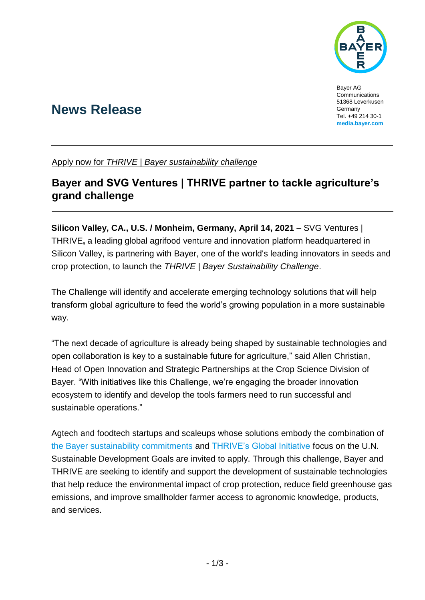

Bayer AG Communications 51368 Leverkusen Germany Tel. +49 214 30-1 **[media.bayer.com](http://media.bayer.de/)**

# **News Release**

Apply now for *THRIVE | Bayer sustainability challenge*

# **Bayer and SVG Ventures | THRIVE partner to tackle agriculture's grand challenge**

**Silicon Valley, CA., U.S. / Monheim, Germany, April 14, 2021** – SVG Ventures | THRIVE**,** a leading global agrifood venture and innovation platform headquartered in Silicon Valley, is partnering with Bayer, one of the world's leading innovators in seeds and crop protection, to launch the *THRIVE | Bayer Sustainability Challenge*.

The Challenge will identify and accelerate emerging technology solutions that will help transform global agriculture to feed the world's growing population in a more sustainable way.

"The next decade of agriculture is already being shaped by sustainable technologies and open collaboration is key to a sustainable future for agriculture," said Allen Christian, Head of Open Innovation and Strategic Partnerships at the Crop Science Division of Bayer. "With initiatives like this Challenge, we're engaging the broader innovation ecosystem to identify and develop the tools farmers need to run successful and sustainable operations."

Agtech and foodtech startups and scaleups whose solutions embody the combination of [the Bayer sustainability commitments](https://bit.ly/bayer_sustainability) and [THRIVE's Global Initiative](https://thriveagrifood.com/global-initiative/) focus on the U.N. Sustainable Development Goals are invited to apply. Through this challenge, Bayer and THRIVE are seeking to identify and support the development of sustainable technologies that help reduce the environmental impact of crop protection, reduce field greenhouse gas emissions, and improve smallholder farmer access to agronomic knowledge, products, and services.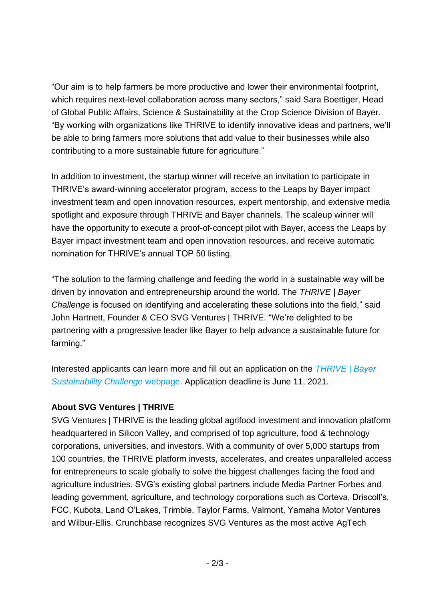"Our aim is to help farmers be more productive and lower their environmental footprint, which requires next-level collaboration across many sectors," said Sara Boettiger, Head of Global Public Affairs, Science & Sustainability at the Crop Science Division of Bayer. "By working with organizations like THRIVE to identify innovative ideas and partners, we'll be able to bring farmers more solutions that add value to their businesses while also contributing to a more sustainable future for agriculture."

In addition to investment, the startup winner will receive an invitation to participate in THRIVE's award-winning accelerator program, access to the Leaps by Bayer impact investment team and open innovation resources, expert mentorship, and extensive media spotlight and exposure through THRIVE and Bayer channels. The scaleup winner will have the opportunity to execute a proof-of-concept pilot with Bayer, access the Leaps by Bayer impact investment team and open innovation resources, and receive automatic nomination for THRIVE's annual TOP 50 listing.

"The solution to the farming challenge and feeding the world in a sustainable way will be driven by innovation and entrepreneurship around the world. The *THRIVE | Bayer Challenge* is focused on identifying and accelerating these solutions into the field," said John Hartnett, Founder & CEO SVG Ventures | THRIVE. "We're delighted to be partnering with a progressive leader like Bayer to help advance a sustainable future for farming."

Interested applicants can learn more and fill out an application on the *[THRIVE | Bayer](https://bit.ly/thrivebayer2021)  [Sustainability Challenge](https://bit.ly/thrivebayer2021)* webpage. Application deadline is June 11, 2021.

### **About SVG Ventures | THRIVE**

SVG Ventures | THRIVE is the leading global agrifood investment and innovation platform headquartered in Silicon Valley, and comprised of top agriculture, food & technology corporations, universities, and investors. With a community of over 5,000 startups from 100 countries, the THRIVE platform invests, accelerates, and creates unparalleled access for entrepreneurs to scale globally to solve the biggest challenges facing the food and agriculture industries. SVG's existing global partners include Media Partner Forbes and leading government, agriculture, and technology corporations such as Corteva, Driscoll's, FCC, Kubota, Land O'Lakes, Trimble, Taylor Farms, Valmont, Yamaha Motor Ventures and Wilbur-Ellis. Crunchbase recognizes SVG Ventures as the most active AgTech